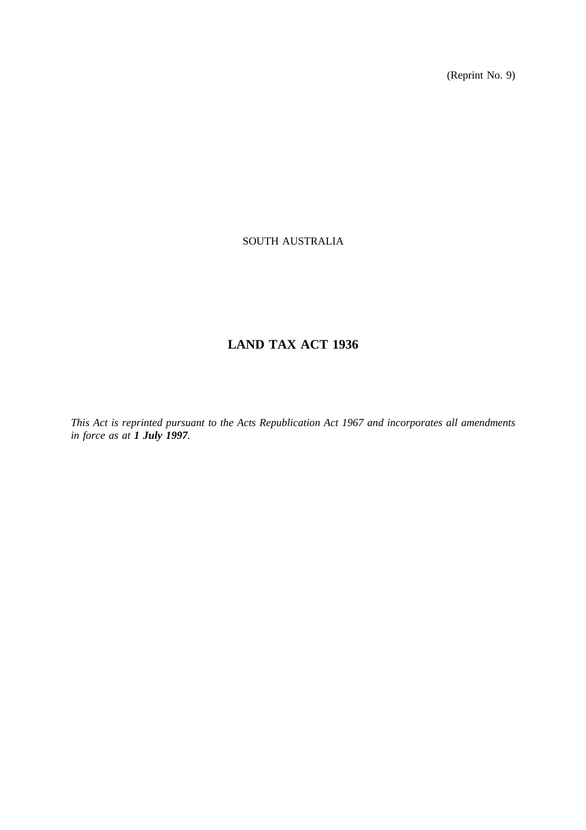(Reprint No. 9)

# SOUTH AUSTRALIA

# **LAND TAX ACT 1936**

*This Act is reprinted pursuant to the Acts Republication Act 1967 and incorporates all amendments in force as at 1 July 1997.*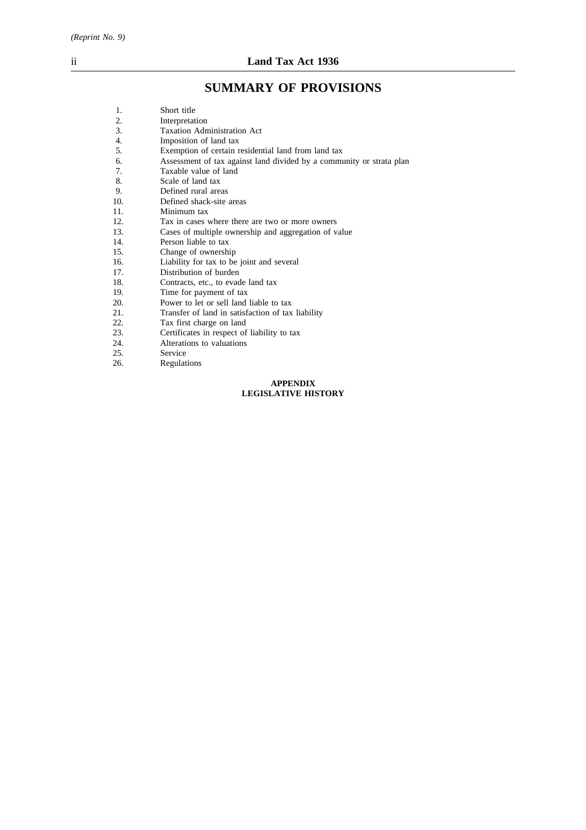# **SUMMARY OF PROVISIONS**

| 1.  | Short title                                                          |
|-----|----------------------------------------------------------------------|
| 2.  | Interpretation                                                       |
| 3.  | <b>Taxation Administration Act</b>                                   |
| 4.  | Imposition of land tax                                               |
| 5.  | Exemption of certain residential land from land tax                  |
| 6.  | Assessment of tax against land divided by a community or strata plan |
| 7.  | Taxable value of land                                                |
| 8.  | Scale of land tax                                                    |
| 9.  | Defined rural areas                                                  |
| 10. | Defined shack-site areas                                             |
| 11. | Minimum tax                                                          |
| 12. | Tax in cases where there are two or more owners                      |
| 13. | Cases of multiple ownership and aggregation of value                 |
| 14. | Person liable to tax                                                 |
| 15. | Change of ownership                                                  |
| 16. | Liability for tax to be joint and several                            |
| 17. | Distribution of burden                                               |
| 18. | Contracts, etc., to evade land tax                                   |
| 19. | Time for payment of tax                                              |
| 20. | Power to let or sell land liable to tax                              |
| 21. | Transfer of land in satisfaction of tax liability                    |
| 22. | Tax first charge on land                                             |
| 23. | Certificates in respect of liability to tax                          |
| 24. | Alterations to valuations                                            |
| 25. | Service                                                              |
| 26. | Regulations                                                          |
|     | <b>APPENDIX</b>                                                      |
|     | <b>LEGISLATIVE HISTORY</b>                                           |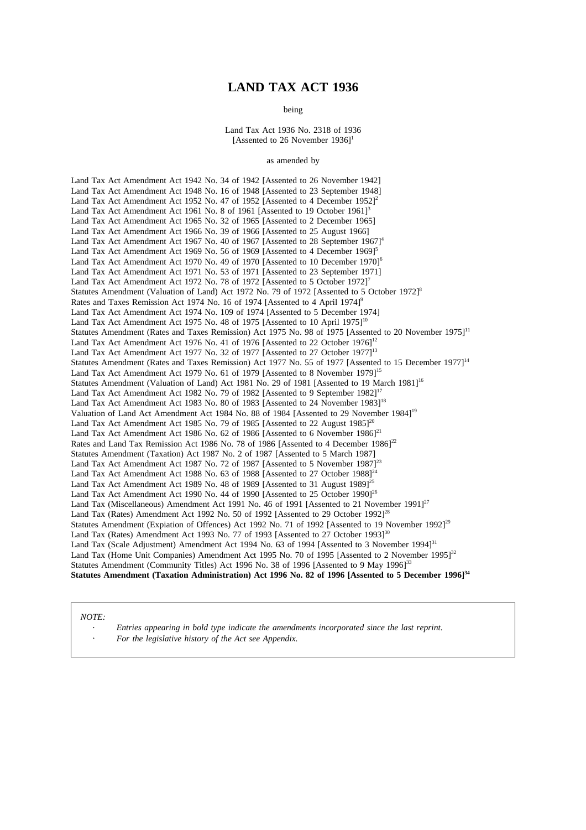# **LAND TAX ACT 1936**

being

Land Tax Act 1936 No. 2318 of 1936 [Assented to 26 November  $1936$ ]<sup>1</sup>

#### as amended by

Land Tax Act Amendment Act 1942 No. 34 of 1942 [Assented to 26 November 1942] Land Tax Act Amendment Act 1948 No. 16 of 1948 [Assented to 23 September 1948] Land Tax Act Amendment Act 1952 No. 47 of 1952 [Assented to 4 December 1952]<sup>2</sup> Land Tax Act Amendment Act 1961 No. 8 of 1961 [Assented to 19 October 1961]<sup>3</sup> Land Tax Act Amendment Act 1965 No. 32 of 1965 [Assented to 2 December 1965] Land Tax Act Amendment Act 1966 No. 39 of 1966 [Assented to 25 August 1966] Land Tax Act Amendment Act 1967 No. 40 of 1967 [Assented to 28 September  $1967$ ]<sup>4</sup> Land Tax Act Amendment Act 1969 No. 56 of 1969 [Assented to 4 December 1969]<sup>5</sup> Land Tax Act Amendment Act 1970 No. 49 of 1970 [Assented to 10 December 1970]<sup>6</sup> Land Tax Act Amendment Act 1971 No. 53 of 1971 [Assented to 23 September 1971] Land Tax Act Amendment Act 1972 No. 78 of 1972 [Assented to 5 October 1972]<sup>7</sup> Statutes Amendment (Valuation of Land) Act 1972 No. 79 of 1972 [Assented to 5 October 1972]<sup>8</sup> Rates and Taxes Remission Act 1974 No. 16 of 1974 [Assented to 4 April 1974]<sup>9</sup> Land Tax Act Amendment Act 1974 No. 109 of 1974 [Assented to 5 December 1974] Land Tax Act Amendment Act 1975 No. 48 of 1975 [Assented to 10 April 1975]<sup>10</sup> Statutes Amendment (Rates and Taxes Remission) Act 1975 No. 98 of 1975 [Assented to 20 November 1975]<sup>11</sup> Land Tax Act Amendment Act 1976 No. 41 of 1976 [Assented to 22 October 1976]<sup>12</sup> Land Tax Act Amendment Act 1977 No. 32 of 1977 [Assented to 27 October 1977]<sup>13</sup> Statutes Amendment (Rates and Taxes Remission) Act 1977 No. 55 of 1977 [Assented to 15 December 1977]<sup>14</sup> Land Tax Act Amendment Act 1979 No. 61 of 1979 [Assented to 8 November 1979]<sup>15</sup> Statutes Amendment (Valuation of Land) Act 1981 No. 29 of 1981 [Assented to 19 March 1981]<sup>16</sup> Land Tax Act Amendment Act 1982 No. 79 of 1982 [Assented to 9 September 1982]<sup>17</sup> Land Tax Act Amendment Act 1983 No. 80 of 1983 [Assented to 24 November 1983]<sup>18</sup> Valuation of Land Act Amendment Act 1984 No. 88 of 1984 [Assented to 29 November 1984]19 Land Tax Act Amendment Act 1985 No. 79 of 1985 [Assented to 22 August  $1985$ ]<sup>20</sup> Land Tax Act Amendment Act 1986 No. 62 of 1986 [Assented to 6 November 1986]<sup>21</sup> Rates and Land Tax Remission Act 1986 No. 78 of 1986 [Assented to 4 December 1986]<sup>22</sup> Statutes Amendment (Taxation) Act 1987 No. 2 of 1987 [Assented to 5 March 1987] Land Tax Act Amendment Act 1987 No. 72 of 1987 [Assented to 5 November 1987]<sup>23</sup> Land Tax Act Amendment Act 1988 No.  $63$  of 1988 [Assented to 27 October 1988]<sup>24</sup> Land Tax Act Amendment Act 1989 No. 48 of 1989 [Assented to 31 August 1989]<sup>25</sup> Land Tax Act Amendment Act 1990 No. 44 of 1990 [Assented to 25 October 1990]<sup>26</sup> Land Tax (Miscellaneous) Amendment Act 1991 No. 46 of 1991 [Assented to 21 November 1991]<sup>27</sup> Land Tax (Rates) Amendment Act 1992 No. 50 of 1992 [Assented to 29 October 1992]<sup>28</sup> Statutes Amendment (Expiation of Offences) Act 1992 No. 71 of 1992 [Assented to 19 November 1992]<sup>29</sup> Land Tax (Rates) Amendment Act 1993 No. 77 of 1993 [Assented to 27 October 1993]<sup>30</sup> Land Tax (Scale Adjustment) Amendment Act 1994 No. 63 of 1994 [Assented to 3 November 1994]<sup>31</sup> Land Tax (Home Unit Companies) Amendment Act 1995 No. 70 of 1995 [Assented to 2 November 1995]<sup>32</sup> Statutes Amendment (Community Titles) Act 1996 No. 38 of 1996 [Assented to 9 May 1996]<sup>33</sup> Statutes Amendment (Taxation Administration) Act 1996 No. 82 of 1996 [Assented to 5 December 1996]<sup>34</sup>

#### *NOTE:*

*Entries appearing in bold type indicate the amendments incorporated since the last reprint. For the legislative history of the Act see Appendix.*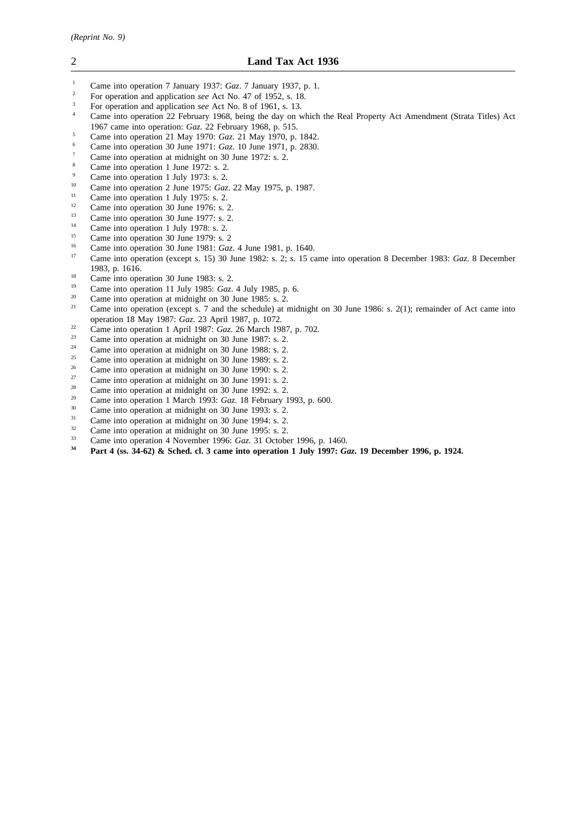- <sup>1</sup> Came into operation 7 January 1937: *Gaz*. 7 January 1937, p. 1.<br><sup>2</sup> Equipments and application asset at No. 47 of 1952, s. 18
- <sup>2</sup> For operation and application *see* Act No. 47 of 1952, s. 18.
- <sup>3</sup> For operation and application *see* Act No. 8 of 1961, s. 13.
- <sup>4</sup> Came into operation 22 February 1968, being the day on which the Real Property Act Amendment (Strata Titles) Act 1967 came into operation: *Gaz*. 22 February 1968, p. 515.
- <sup>5</sup> Came into operation 21 May 1970: *Gaz*. 21 May 1970, p. 1842.
- <sup>6</sup> Came into operation 30 June 1971: *Gaz*. 10 June 1971, p. 2830.
- $\frac{7}{8}$  Came into operation at midnight on 30 June 1972: s. 2.
- Came into operation 1 June 1972: s. 2.
- <sup>9</sup> Came into operation 1 July 1973: s. 2.<br><sup>10</sup> Came into operation 2 June 1975: Car
- <sup>10</sup> Came into operation 2 June 1975: *Gaz*. 22 May 1975, p. 1987.
- <sup>11</sup> Came into operation 1 July 1975: s. 2.
- <sup>12</sup> Came into operation 30 June 1976: s. 2.<br>
Come into operation 20 June 1977: s. 2.
- $\frac{13}{14}$  Came into operation 30 June 1977: s. 2.
- <sup>14</sup> Came into operation 1 July 1978: s. 2.
- <sup>15</sup> Came into operation 30 June 1979: s. 2<sup>16</sup>
- <sup>16</sup> Came into operation 30 June 1981: *Gaz*. 4 June 1981, p. 1640.
- <sup>17</sup> Came into operation (except s. 15) 30 June 1982: s. 2; s. 15 came into operation 8 December 1983: *Gaz*. 8 December 1983, p. 1616.
- <sup>18</sup> Came into operation 30 June 1983: s. 2.<br><sup>19</sup> Came into operation 11 July 1985: C
- <sup>19</sup> Came into operation 11 July 1985: *Gaz*. 4 July 1985, p. 6.<br><sup>20</sup> Came into aggressive at midnight an <sup>20</sup> June 1095.
- <sup>20</sup> Came into operation at midnight on 30 June 1985: s.  $\hat{2}$ .<br><sup>21</sup> Came into operation (queent a  $\hat{2}$  and the schoolale) at a
- <sup>21</sup> Came into operation (except s. 7 and the schedule) at midnight on 30 June 1986: s. 2(1); remainder of Act came into operation 18 May 1987: *Gaz*. 23 April 1987, p. 1072.
- <sup>22</sup> Came into operation 1 April 1987:  $Gaz$ . 26 March 1987, p. 702.<br>
<sup>23</sup> Came into operation at midnight on 20 June 1987: c. 2
- <sup>23</sup> Came into operation at midnight on 30 June 1987: s. 2.<br><sup>24</sup> C
- <sup>24</sup> Came into operation at midnight on 30 June 1988: s. 2.<br>
Come into operation at midnight on 20 June 1980: s. 2.
- <sup>25</sup> Came into operation at midnight on 30 June 1989: s. 2.<br> $\frac{26}{1000}$  Came into a partice at midnight as 20 June 1999: s. 2.
- <sup>26</sup> Came into operation at midnight on 30 June 1990: s. 2.<br>
<sup>27</sup>
- <sup>27</sup> Came into operation at midnight on 30 June 1991: s. 2.<br><sup>28</sup> C
- <sup>28</sup> Came into operation at midnight on 30 June 1992: s. 2.<br><sup>29</sup> Came into a partice 1 March 1992:  $C_{\text{max}}$  19 February 1
- <sup>29</sup> Came into operation 1 March 1993: *Gaz*. 18 February 1993, p. 600.
- $^{30}$  Came into operation at midnight on 30 June 1993: s. 2.<br> $^{31}$  Came into operation at midnight an 20 June 1994: s. 2.
- <sup>31</sup> Came into operation at midnight on 30 June 1994: s. 2.<br>
Come into operation at midnight on  $30 \text{ J}$ une 1005: s. 2.
- $\frac{32}{2}$  Came into operation at midnight on 30 June 1995: s. 2.<br> $\frac{33}{2}$  Came into a parties 4. Neural p. 1996:  $C_{\text{max}}$  21. Other
- <sup>33</sup> Came into operation 4 November 1996: *Gaz*. 31 October 1996, p. 1460.<br><sup>34</sup> Port 4 (ss 24.63) & School al. 3 some into operation 1 July 1007. *C*
- **<sup>34</sup> Part 4 (ss. 34-62) & Sched. cl. 3 came into operation 1 July 1997:** *Gaz***. 19 December 1996, p. 1924.**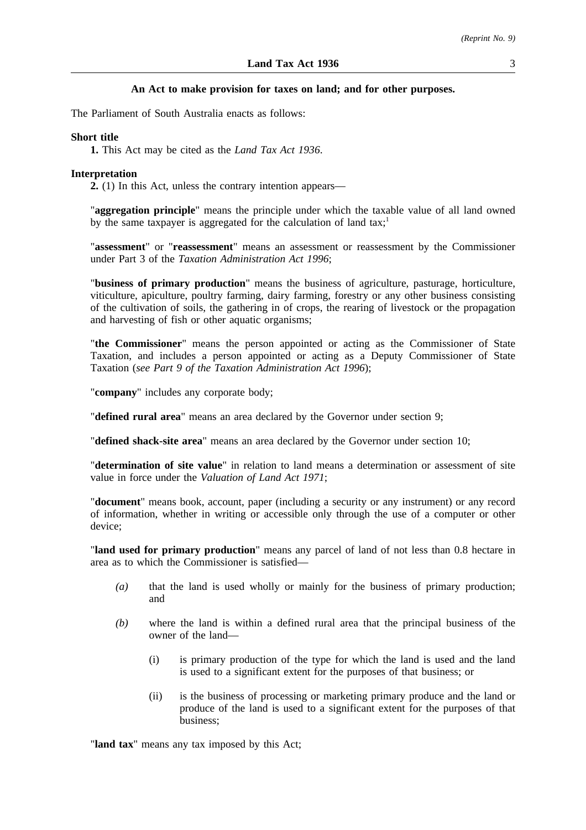# **An Act to make provision for taxes on land; and for other purposes.**

The Parliament of South Australia enacts as follows:

## **Short title**

**1.** This Act may be cited as the *Land Tax Act 1936*.

#### **Interpretation**

**2.** (1) In this Act, unless the contrary intention appears—

"**aggregation principle**" means the principle under which the taxable value of all land owned by the same taxpayer is aggregated for the calculation of land  $\text{taxi}^1$ ;

"**assessment**" or "**reassessment**" means an assessment or reassessment by the Commissioner under Part 3 of the *Taxation Administration Act 1996*;

"**business of primary production**" means the business of agriculture, pasturage, horticulture, viticulture, apiculture, poultry farming, dairy farming, forestry or any other business consisting of the cultivation of soils, the gathering in of crops, the rearing of livestock or the propagation and harvesting of fish or other aquatic organisms;

"**the Commissioner**" means the person appointed or acting as the Commissioner of State Taxation, and includes a person appointed or acting as a Deputy Commissioner of State Taxation (*see Part 9 of the Taxation Administration Act 1996*);

"**company**" includes any corporate body;

"**defined rural area**" means an area declared by the Governor under section 9;

"**defined shack-site area**" means an area declared by the Governor under section 10;

"**determination of site value**" in relation to land means a determination or assessment of site value in force under the *Valuation of Land Act 1971*;

"**document**" means book, account, paper (including a security or any instrument) or any record of information, whether in writing or accessible only through the use of a computer or other device;

"**land used for primary production**" means any parcel of land of not less than 0.8 hectare in area as to which the Commissioner is satisfied—

- *(a)* that the land is used wholly or mainly for the business of primary production; and
- *(b)* where the land is within a defined rural area that the principal business of the owner of the land—
	- (i) is primary production of the type for which the land is used and the land is used to a significant extent for the purposes of that business; or
	- (ii) is the business of processing or marketing primary produce and the land or produce of the land is used to a significant extent for the purposes of that business;

"**land tax**" means any tax imposed by this Act;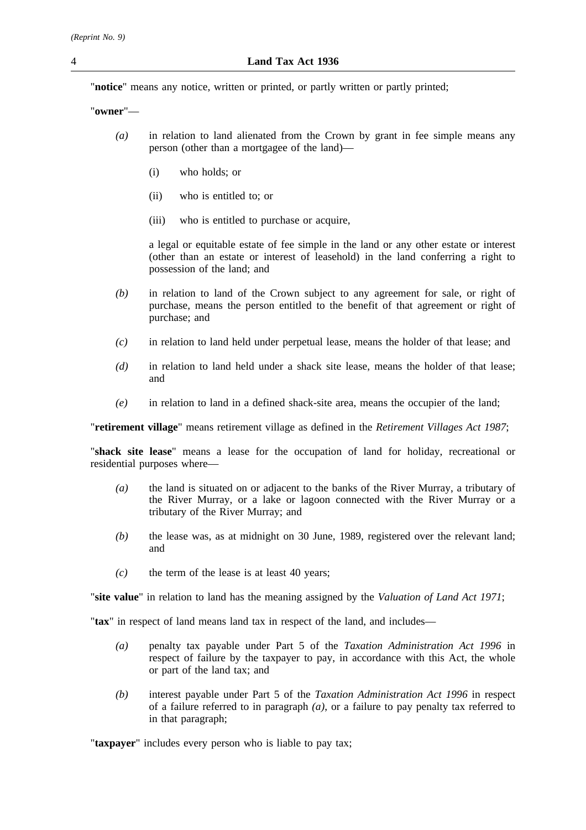"**notice**" means any notice, written or printed, or partly written or partly printed;

"**owner**"—

- *(a)* in relation to land alienated from the Crown by grant in fee simple means any person (other than a mortgagee of the land)—
	- (i) who holds; or
	- (ii) who is entitled to; or
	- (iii) who is entitled to purchase or acquire,

a legal or equitable estate of fee simple in the land or any other estate or interest (other than an estate or interest of leasehold) in the land conferring a right to possession of the land; and

- *(b)* in relation to land of the Crown subject to any agreement for sale, or right of purchase, means the person entitled to the benefit of that agreement or right of purchase; and
- *(c)* in relation to land held under perpetual lease, means the holder of that lease; and
- *(d)* in relation to land held under a shack site lease, means the holder of that lease; and
- *(e)* in relation to land in a defined shack-site area, means the occupier of the land;

"**retirement village**" means retirement village as defined in the *Retirement Villages Act 1987*;

"**shack site lease**" means a lease for the occupation of land for holiday, recreational or residential purposes where—

- *(a)* the land is situated on or adjacent to the banks of the River Murray, a tributary of the River Murray, or a lake or lagoon connected with the River Murray or a tributary of the River Murray; and
- *(b)* the lease was, as at midnight on 30 June, 1989, registered over the relevant land; and
- *(c)* the term of the lease is at least 40 years;

"**site value**" in relation to land has the meaning assigned by the *Valuation of Land Act 1971*;

"**tax**" in respect of land means land tax in respect of the land, and includes—

- *(a)* penalty tax payable under Part 5 of the *Taxation Administration Act 1996* in respect of failure by the taxpayer to pay, in accordance with this Act, the whole or part of the land tax; and
- *(b)* interest payable under Part 5 of the *Taxation Administration Act 1996* in respect of a failure referred to in paragraph *(a)*, or a failure to pay penalty tax referred to in that paragraph;

"**taxpayer**" includes every person who is liable to pay tax;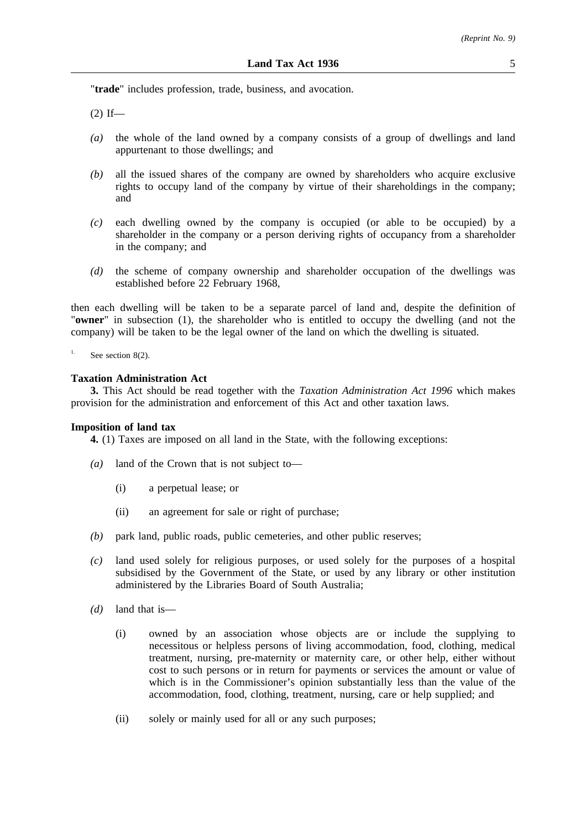"**trade**" includes profession, trade, business, and avocation.

 $(2)$  If—

- *(a)* the whole of the land owned by a company consists of a group of dwellings and land appurtenant to those dwellings; and
- *(b)* all the issued shares of the company are owned by shareholders who acquire exclusive rights to occupy land of the company by virtue of their shareholdings in the company; and
- *(c)* each dwelling owned by the company is occupied (or able to be occupied) by a shareholder in the company or a person deriving rights of occupancy from a shareholder in the company; and
- *(d)* the scheme of company ownership and shareholder occupation of the dwellings was established before 22 February 1968,

then each dwelling will be taken to be a separate parcel of land and, despite the definition of "**owner**" in subsection (1), the shareholder who is entitled to occupy the dwelling (and not the company) will be taken to be the legal owner of the land on which the dwelling is situated.

See section 8(2).

## **Taxation Administration Act**

**3.** This Act should be read together with the *Taxation Administration Act 1996* which makes provision for the administration and enforcement of this Act and other taxation laws.

# **Imposition of land tax**

**4.** (1) Taxes are imposed on all land in the State, with the following exceptions:

- *(a)* land of the Crown that is not subject to—
	- (i) a perpetual lease; or
	- (ii) an agreement for sale or right of purchase;
- *(b)* park land, public roads, public cemeteries, and other public reserves;
- *(c)* land used solely for religious purposes, or used solely for the purposes of a hospital subsidised by the Government of the State, or used by any library or other institution administered by the Libraries Board of South Australia;
- *(d)* land that is—
	- (i) owned by an association whose objects are or include the supplying to necessitous or helpless persons of living accommodation, food, clothing, medical treatment, nursing, pre-maternity or maternity care, or other help, either without cost to such persons or in return for payments or services the amount or value of which is in the Commissioner's opinion substantially less than the value of the accommodation, food, clothing, treatment, nursing, care or help supplied; and
	- (ii) solely or mainly used for all or any such purposes;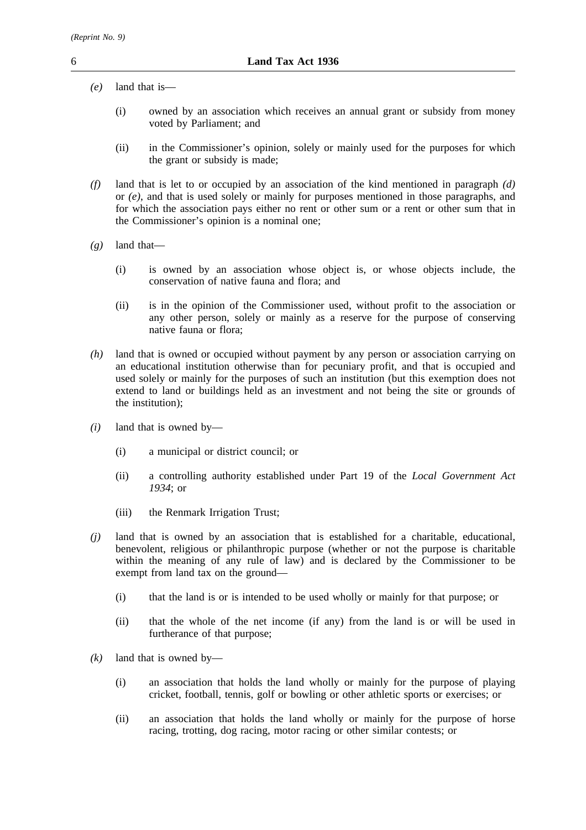- *(e)* land that is—
	- (i) owned by an association which receives an annual grant or subsidy from money voted by Parliament; and
	- (ii) in the Commissioner's opinion, solely or mainly used for the purposes for which the grant or subsidy is made;
- *(f)* land that is let to or occupied by an association of the kind mentioned in paragraph *(d)* or *(e)*, and that is used solely or mainly for purposes mentioned in those paragraphs, and for which the association pays either no rent or other sum or a rent or other sum that in the Commissioner's opinion is a nominal one;
- *(g)* land that—
	- (i) is owned by an association whose object is, or whose objects include, the conservation of native fauna and flora; and
	- (ii) is in the opinion of the Commissioner used, without profit to the association or any other person, solely or mainly as a reserve for the purpose of conserving native fauna or flora;
- *(h)* land that is owned or occupied without payment by any person or association carrying on an educational institution otherwise than for pecuniary profit, and that is occupied and used solely or mainly for the purposes of such an institution (but this exemption does not extend to land or buildings held as an investment and not being the site or grounds of the institution);
- *(i)* land that is owned by—
	- (i) a municipal or district council; or
	- (ii) a controlling authority established under Part 19 of the *Local Government Act 1934*; or
	- (iii) the Renmark Irrigation Trust;
- *(j)* land that is owned by an association that is established for a charitable, educational, benevolent, religious or philanthropic purpose (whether or not the purpose is charitable within the meaning of any rule of law) and is declared by the Commissioner to be exempt from land tax on the ground—
	- (i) that the land is or is intended to be used wholly or mainly for that purpose; or
	- (ii) that the whole of the net income (if any) from the land is or will be used in furtherance of that purpose;
- *(k)* land that is owned by—
	- (i) an association that holds the land wholly or mainly for the purpose of playing cricket, football, tennis, golf or bowling or other athletic sports or exercises; or
	- (ii) an association that holds the land wholly or mainly for the purpose of horse racing, trotting, dog racing, motor racing or other similar contests; or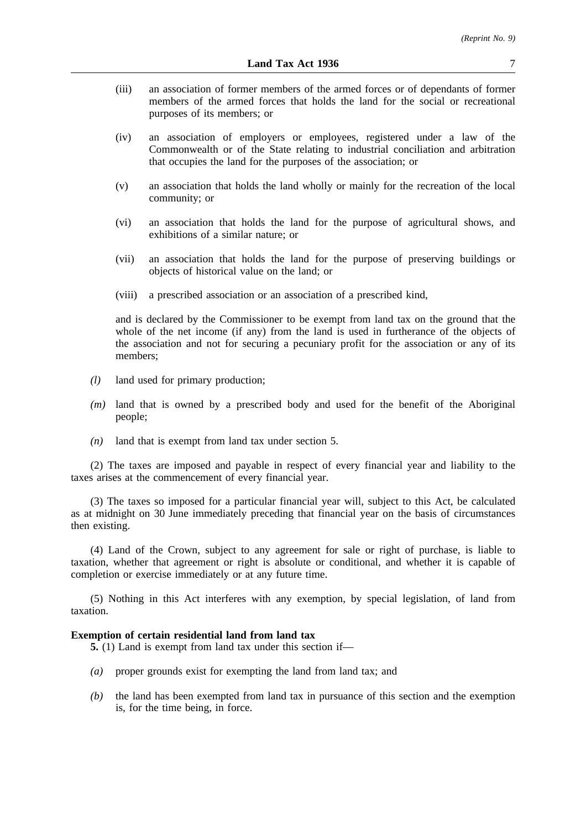- (iii) an association of former members of the armed forces or of dependants of former members of the armed forces that holds the land for the social or recreational purposes of its members; or
- (iv) an association of employers or employees, registered under a law of the Commonwealth or of the State relating to industrial conciliation and arbitration that occupies the land for the purposes of the association; or
- (v) an association that holds the land wholly or mainly for the recreation of the local community; or
- (vi) an association that holds the land for the purpose of agricultural shows, and exhibitions of a similar nature; or
- (vii) an association that holds the land for the purpose of preserving buildings or objects of historical value on the land; or
- (viii) a prescribed association or an association of a prescribed kind,

and is declared by the Commissioner to be exempt from land tax on the ground that the whole of the net income (if any) from the land is used in furtherance of the objects of the association and not for securing a pecuniary profit for the association or any of its members;

- *(l)* land used for primary production;
- *(m)* land that is owned by a prescribed body and used for the benefit of the Aboriginal people;
- *(n)* land that is exempt from land tax under section 5.

(2) The taxes are imposed and payable in respect of every financial year and liability to the taxes arises at the commencement of every financial year.

(3) The taxes so imposed for a particular financial year will, subject to this Act, be calculated as at midnight on 30 June immediately preceding that financial year on the basis of circumstances then existing.

(4) Land of the Crown, subject to any agreement for sale or right of purchase, is liable to taxation, whether that agreement or right is absolute or conditional, and whether it is capable of completion or exercise immediately or at any future time.

(5) Nothing in this Act interferes with any exemption, by special legislation, of land from taxation.

# **Exemption of certain residential land from land tax**

**5.** (1) Land is exempt from land tax under this section if—

- *(a)* proper grounds exist for exempting the land from land tax; and
- *(b)* the land has been exempted from land tax in pursuance of this section and the exemption is, for the time being, in force.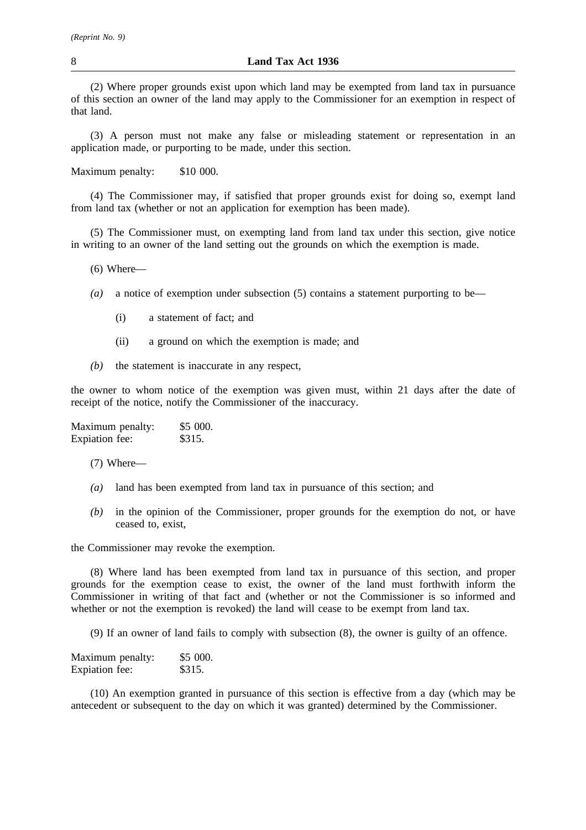(2) Where proper grounds exist upon which land may be exempted from land tax in pursuance of this section an owner of the land may apply to the Commissioner for an exemption in respect of that land.

(3) A person must not make any false or misleading statement or representation in an application made, or purporting to be made, under this section.

Maximum penalty: \$10 000.

(4) The Commissioner may, if satisfied that proper grounds exist for doing so, exempt land from land tax (whether or not an application for exemption has been made).

(5) The Commissioner must, on exempting land from land tax under this section, give notice in writing to an owner of the land setting out the grounds on which the exemption is made.

 $(6)$  Where—

- *(a)* a notice of exemption under subsection (5) contains a statement purporting to be—
	- (i) a statement of fact; and
	- (ii) a ground on which the exemption is made; and
- *(b)* the statement is inaccurate in any respect,

the owner to whom notice of the exemption was given must, within 21 days after the date of receipt of the notice, notify the Commissioner of the inaccuracy.

| Maximum penalty: | \$5 000. |
|------------------|----------|
| Expiation fee:   | \$315.   |

(7) Where—

- *(a)* land has been exempted from land tax in pursuance of this section; and
- *(b)* in the opinion of the Commissioner, proper grounds for the exemption do not, or have ceased to, exist,

the Commissioner may revoke the exemption.

(8) Where land has been exempted from land tax in pursuance of this section, and proper grounds for the exemption cease to exist, the owner of the land must forthwith inform the Commissioner in writing of that fact and (whether or not the Commissioner is so informed and whether or not the exemption is revoked) the land will cease to be exempt from land tax.

(9) If an owner of land fails to comply with subsection (8), the owner is guilty of an offence.

| Maximum penalty:      | \$5000. |
|-----------------------|---------|
| <b>Expiation</b> fee: | \$315.  |

(10) An exemption granted in pursuance of this section is effective from a day (which may be antecedent or subsequent to the day on which it was granted) determined by the Commissioner.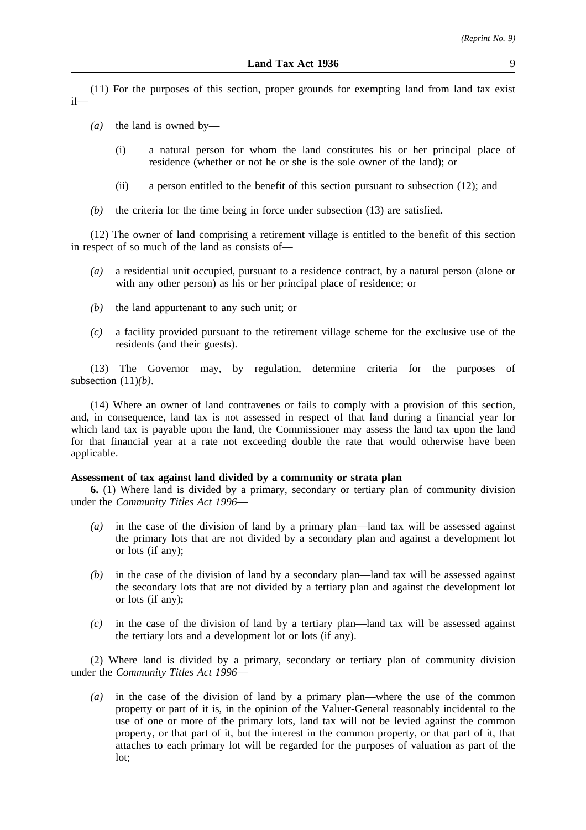(11) For the purposes of this section, proper grounds for exempting land from land tax exist if—

- *(a)* the land is owned by—
	- (i) a natural person for whom the land constitutes his or her principal place of residence (whether or not he or she is the sole owner of the land); or
	- (ii) a person entitled to the benefit of this section pursuant to subsection (12); and
- *(b)* the criteria for the time being in force under subsection (13) are satisfied.

(12) The owner of land comprising a retirement village is entitled to the benefit of this section in respect of so much of the land as consists of—

- *(a)* a residential unit occupied, pursuant to a residence contract, by a natural person (alone or with any other person) as his or her principal place of residence; or
- *(b)* the land appurtenant to any such unit; or
- *(c)* a facility provided pursuant to the retirement village scheme for the exclusive use of the residents (and their guests).

(13) The Governor may, by regulation, determine criteria for the purposes of subsection (11)*(b)*.

(14) Where an owner of land contravenes or fails to comply with a provision of this section, and, in consequence, land tax is not assessed in respect of that land during a financial year for which land tax is payable upon the land, the Commissioner may assess the land tax upon the land for that financial year at a rate not exceeding double the rate that would otherwise have been applicable.

### **Assessment of tax against land divided by a community or strata plan**

**6.** (1) Where land is divided by a primary, secondary or tertiary plan of community division under the *Community Titles Act 1996*—

- *(a)* in the case of the division of land by a primary plan—land tax will be assessed against the primary lots that are not divided by a secondary plan and against a development lot or lots (if any);
- *(b)* in the case of the division of land by a secondary plan—land tax will be assessed against the secondary lots that are not divided by a tertiary plan and against the development lot or lots (if any);
- *(c)* in the case of the division of land by a tertiary plan—land tax will be assessed against the tertiary lots and a development lot or lots (if any).

(2) Where land is divided by a primary, secondary or tertiary plan of community division under the *Community Titles Act 1996*—

*(a)* in the case of the division of land by a primary plan—where the use of the common property or part of it is, in the opinion of the Valuer-General reasonably incidental to the use of one or more of the primary lots, land tax will not be levied against the common property, or that part of it, but the interest in the common property, or that part of it, that attaches to each primary lot will be regarded for the purposes of valuation as part of the lot;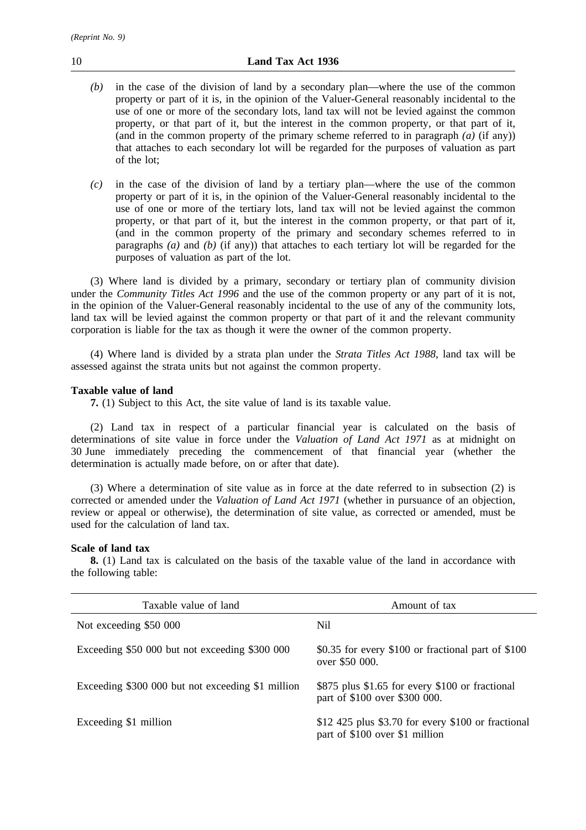- *(b)* in the case of the division of land by a secondary plan—where the use of the common property or part of it is, in the opinion of the Valuer-General reasonably incidental to the use of one or more of the secondary lots, land tax will not be levied against the common property, or that part of it, but the interest in the common property, or that part of it, (and in the common property of the primary scheme referred to in paragraph  $(a)$  (if any)) that attaches to each secondary lot will be regarded for the purposes of valuation as part of the lot;
- *(c)* in the case of the division of land by a tertiary plan—where the use of the common property or part of it is, in the opinion of the Valuer-General reasonably incidental to the use of one or more of the tertiary lots, land tax will not be levied against the common property, or that part of it, but the interest in the common property, or that part of it, (and in the common property of the primary and secondary schemes referred to in paragraphs *(a)* and *(b)* (if any)) that attaches to each tertiary lot will be regarded for the purposes of valuation as part of the lot.

(3) Where land is divided by a primary, secondary or tertiary plan of community division under the *Community Titles Act 1996* and the use of the common property or any part of it is not, in the opinion of the Valuer-General reasonably incidental to the use of any of the community lots, land tax will be levied against the common property or that part of it and the relevant community corporation is liable for the tax as though it were the owner of the common property.

(4) Where land is divided by a strata plan under the *Strata Titles Act 1988*, land tax will be assessed against the strata units but not against the common property.

# **Taxable value of land**

**7.** (1) Subject to this Act, the site value of land is its taxable value.

(2) Land tax in respect of a particular financial year is calculated on the basis of determinations of site value in force under the *Valuation of Land Act 1971* as at midnight on 30 June immediately preceding the commencement of that financial year (whether the determination is actually made before, on or after that date).

(3) Where a determination of site value as in force at the date referred to in subsection (2) is corrected or amended under the *Valuation of Land Act 1971* (whether in pursuance of an objection, review or appeal or otherwise), the determination of site value, as corrected or amended, must be used for the calculation of land tax.

# **Scale of land tax**

**8.** (1) Land tax is calculated on the basis of the taxable value of the land in accordance with the following table:

| Taxable value of land                             | Amount of tax                                                                        |
|---------------------------------------------------|--------------------------------------------------------------------------------------|
| Not exceeding \$50 000                            | Nil                                                                                  |
| Exceeding \$50 000 but not exceeding \$300 000    | \$0.35 for every \$100 or fractional part of \$100<br>over \$50 000.                 |
| Exceeding \$300 000 but not exceeding \$1 million | \$875 plus \$1.65 for every \$100 or fractional<br>part of \$100 over \$300 000.     |
| Exceeding \$1 million                             | \$12,425 plus \$3.70 for every \$100 or fractional<br>part of \$100 over \$1 million |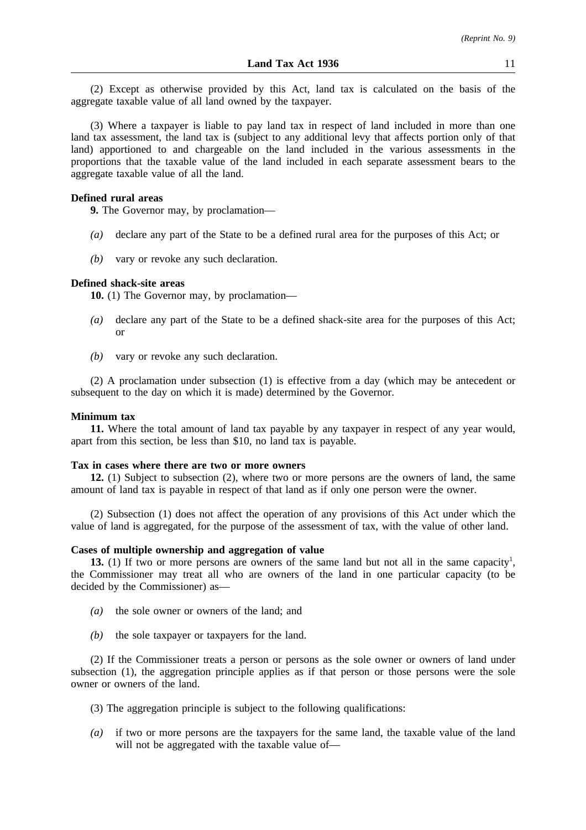(2) Except as otherwise provided by this Act, land tax is calculated on the basis of the aggregate taxable value of all land owned by the taxpayer.

(3) Where a taxpayer is liable to pay land tax in respect of land included in more than one land tax assessment, the land tax is (subject to any additional levy that affects portion only of that land) apportioned to and chargeable on the land included in the various assessments in the proportions that the taxable value of the land included in each separate assessment bears to the aggregate taxable value of all the land.

## **Defined rural areas**

**9.** The Governor may, by proclamation—

- *(a)* declare any part of the State to be a defined rural area for the purposes of this Act; or
- *(b)* vary or revoke any such declaration.

#### **Defined shack-site areas**

**10.** (1) The Governor may, by proclamation—

- *(a)* declare any part of the State to be a defined shack-site area for the purposes of this Act; or
- *(b)* vary or revoke any such declaration.

(2) A proclamation under subsection (1) is effective from a day (which may be antecedent or subsequent to the day on which it is made) determined by the Governor.

#### **Minimum tax**

**11.** Where the total amount of land tax payable by any taxpayer in respect of any year would, apart from this section, be less than \$10, no land tax is payable.

#### **Tax in cases where there are two or more owners**

**12.** (1) Subject to subsection (2), where two or more persons are the owners of land, the same amount of land tax is payable in respect of that land as if only one person were the owner.

(2) Subsection (1) does not affect the operation of any provisions of this Act under which the value of land is aggregated, for the purpose of the assessment of tax, with the value of other land.

#### **Cases of multiple ownership and aggregation of value**

**13.** (1) If two or more persons are owners of the same land but not all in the same capacity<sup>1</sup>, the Commissioner may treat all who are owners of the land in one particular capacity (to be decided by the Commissioner) as—

- *(a)* the sole owner or owners of the land; and
- *(b)* the sole taxpayer or taxpayers for the land.

(2) If the Commissioner treats a person or persons as the sole owner or owners of land under subsection (1), the aggregation principle applies as if that person or those persons were the sole owner or owners of the land.

- (3) The aggregation principle is subject to the following qualifications:
- *(a)* if two or more persons are the taxpayers for the same land, the taxable value of the land will not be aggregated with the taxable value of—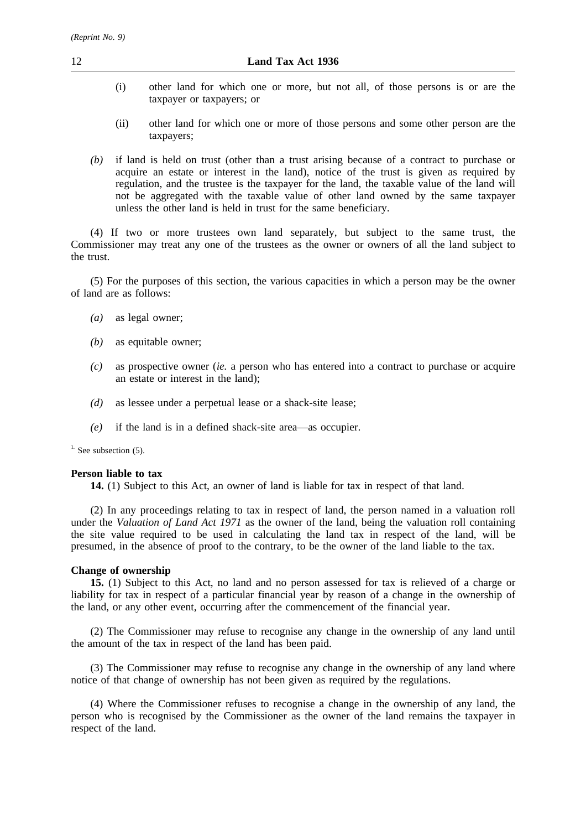- (i) other land for which one or more, but not all, of those persons is or are the taxpayer or taxpayers; or
- (ii) other land for which one or more of those persons and some other person are the taxpayers;
- *(b)* if land is held on trust (other than a trust arising because of a contract to purchase or acquire an estate or interest in the land), notice of the trust is given as required by regulation, and the trustee is the taxpayer for the land, the taxable value of the land will not be aggregated with the taxable value of other land owned by the same taxpayer unless the other land is held in trust for the same beneficiary.

(4) If two or more trustees own land separately, but subject to the same trust, the Commissioner may treat any one of the trustees as the owner or owners of all the land subject to the trust.

(5) For the purposes of this section, the various capacities in which a person may be the owner of land are as follows:

- *(a)* as legal owner;
- *(b)* as equitable owner;
- *(c)* as prospective owner (*ie.* a person who has entered into a contract to purchase or acquire an estate or interest in the land);
- *(d)* as lessee under a perpetual lease or a shack-site lease;
- *(e)* if the land is in a defined shack-site area—as occupier.

 $<sup>1</sup>$ . See subsection (5).</sup>

#### **Person liable to tax**

**14.** (1) Subject to this Act, an owner of land is liable for tax in respect of that land.

(2) In any proceedings relating to tax in respect of land, the person named in a valuation roll under the *Valuation of Land Act 1971* as the owner of the land, being the valuation roll containing the site value required to be used in calculating the land tax in respect of the land, will be presumed, in the absence of proof to the contrary, to be the owner of the land liable to the tax.

# **Change of ownership**

**15.** (1) Subject to this Act, no land and no person assessed for tax is relieved of a charge or liability for tax in respect of a particular financial year by reason of a change in the ownership of the land, or any other event, occurring after the commencement of the financial year.

(2) The Commissioner may refuse to recognise any change in the ownership of any land until the amount of the tax in respect of the land has been paid.

(3) The Commissioner may refuse to recognise any change in the ownership of any land where notice of that change of ownership has not been given as required by the regulations.

(4) Where the Commissioner refuses to recognise a change in the ownership of any land, the person who is recognised by the Commissioner as the owner of the land remains the taxpayer in respect of the land.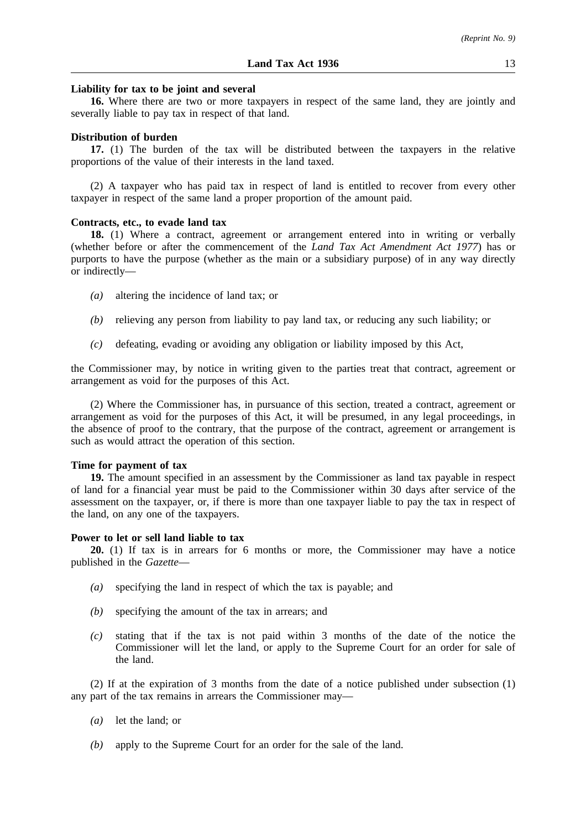#### **Liability for tax to be joint and several**

**16.** Where there are two or more taxpayers in respect of the same land, they are jointly and severally liable to pay tax in respect of that land.

#### **Distribution of burden**

**17.** (1) The burden of the tax will be distributed between the taxpayers in the relative proportions of the value of their interests in the land taxed.

(2) A taxpayer who has paid tax in respect of land is entitled to recover from every other taxpayer in respect of the same land a proper proportion of the amount paid.

# **Contracts, etc., to evade land tax**

**18.** (1) Where a contract, agreement or arrangement entered into in writing or verbally (whether before or after the commencement of the *Land Tax Act Amendment Act 1977*) has or purports to have the purpose (whether as the main or a subsidiary purpose) of in any way directly or indirectly—

- *(a)* altering the incidence of land tax; or
- *(b)* relieving any person from liability to pay land tax, or reducing any such liability; or
- *(c)* defeating, evading or avoiding any obligation or liability imposed by this Act,

the Commissioner may, by notice in writing given to the parties treat that contract, agreement or arrangement as void for the purposes of this Act.

(2) Where the Commissioner has, in pursuance of this section, treated a contract, agreement or arrangement as void for the purposes of this Act, it will be presumed, in any legal proceedings, in the absence of proof to the contrary, that the purpose of the contract, agreement or arrangement is such as would attract the operation of this section.

# **Time for payment of tax**

**19.** The amount specified in an assessment by the Commissioner as land tax payable in respect of land for a financial year must be paid to the Commissioner within 30 days after service of the assessment on the taxpayer, or, if there is more than one taxpayer liable to pay the tax in respect of the land, on any one of the taxpayers.

# **Power to let or sell land liable to tax**

**20.** (1) If tax is in arrears for 6 months or more, the Commissioner may have a notice published in the *Gazette*—

- *(a)* specifying the land in respect of which the tax is payable; and
- *(b)* specifying the amount of the tax in arrears; and
- *(c)* stating that if the tax is not paid within 3 months of the date of the notice the Commissioner will let the land, or apply to the Supreme Court for an order for sale of the land.

(2) If at the expiration of 3 months from the date of a notice published under subsection (1) any part of the tax remains in arrears the Commissioner may—

- *(a)* let the land; or
- *(b)* apply to the Supreme Court for an order for the sale of the land.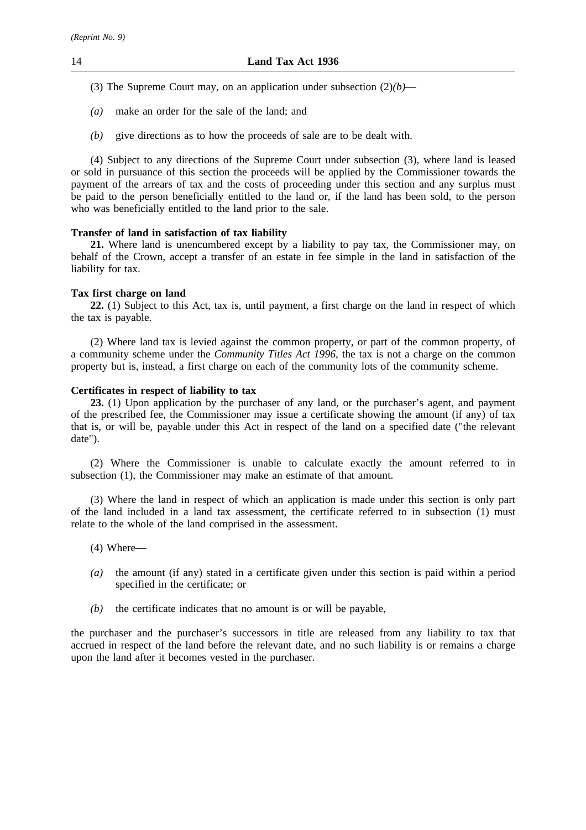- (3) The Supreme Court may, on an application under subsection (2)*(b)*—
- *(a)* make an order for the sale of the land; and
- *(b)* give directions as to how the proceeds of sale are to be dealt with.

(4) Subject to any directions of the Supreme Court under subsection (3), where land is leased or sold in pursuance of this section the proceeds will be applied by the Commissioner towards the payment of the arrears of tax and the costs of proceeding under this section and any surplus must be paid to the person beneficially entitled to the land or, if the land has been sold, to the person who was beneficially entitled to the land prior to the sale.

# **Transfer of land in satisfaction of tax liability**

**21.** Where land is unencumbered except by a liability to pay tax, the Commissioner may, on behalf of the Crown, accept a transfer of an estate in fee simple in the land in satisfaction of the liability for tax.

# **Tax first charge on land**

**22.** (1) Subject to this Act, tax is, until payment, a first charge on the land in respect of which the tax is payable.

(2) Where land tax is levied against the common property, or part of the common property, of a community scheme under the *Community Titles Act 1996*, the tax is not a charge on the common property but is, instead, a first charge on each of the community lots of the community scheme.

# **Certificates in respect of liability to tax**

**23.** (1) Upon application by the purchaser of any land, or the purchaser's agent, and payment of the prescribed fee, the Commissioner may issue a certificate showing the amount (if any) of tax that is, or will be, payable under this Act in respect of the land on a specified date ("the relevant date").

(2) Where the Commissioner is unable to calculate exactly the amount referred to in subsection (1), the Commissioner may make an estimate of that amount.

(3) Where the land in respect of which an application is made under this section is only part of the land included in a land tax assessment, the certificate referred to in subsection (1) must relate to the whole of the land comprised in the assessment.

- (4) Where—
- *(a)* the amount (if any) stated in a certificate given under this section is paid within a period specified in the certificate; or
- *(b)* the certificate indicates that no amount is or will be payable,

the purchaser and the purchaser's successors in title are released from any liability to tax that accrued in respect of the land before the relevant date, and no such liability is or remains a charge upon the land after it becomes vested in the purchaser.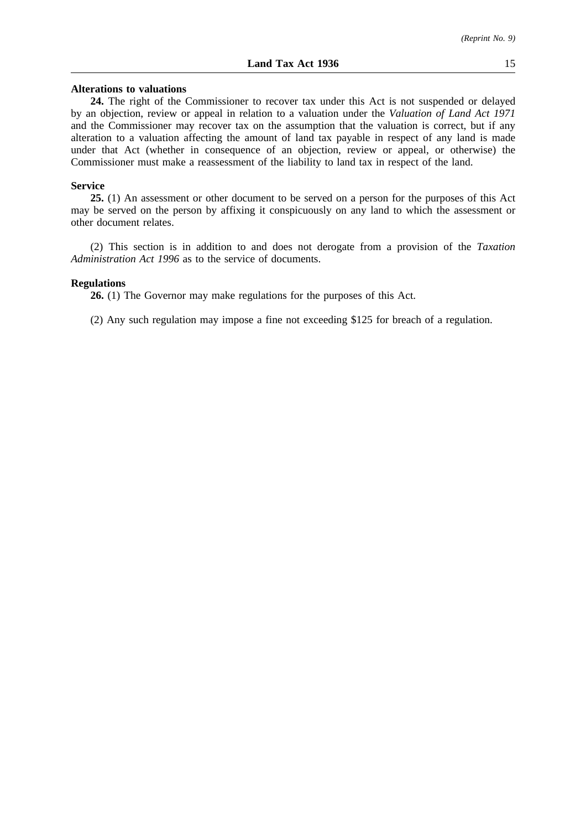**24.** The right of the Commissioner to recover tax under this Act is not suspended or delayed by an objection, review or appeal in relation to a valuation under the *Valuation of Land Act 1971* and the Commissioner may recover tax on the assumption that the valuation is correct, but if any alteration to a valuation affecting the amount of land tax payable in respect of any land is made under that Act (whether in consequence of an objection, review or appeal, or otherwise) the Commissioner must make a reassessment of the liability to land tax in respect of the land.

# **Service**

**25.** (1) An assessment or other document to be served on a person for the purposes of this Act may be served on the person by affixing it conspicuously on any land to which the assessment or other document relates.

(2) This section is in addition to and does not derogate from a provision of the *Taxation Administration Act 1996* as to the service of documents.

#### **Regulations**

**26.** (1) The Governor may make regulations for the purposes of this Act.

(2) Any such regulation may impose a fine not exceeding \$125 for breach of a regulation.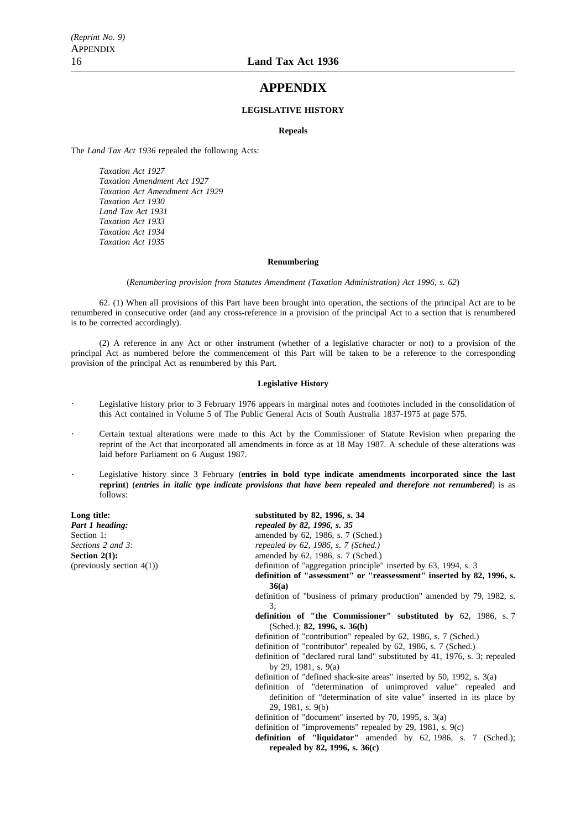# **APPENDIX**

#### **LEGISLATIVE HISTORY**

#### **Repeals**

The *Land Tax Act 1936* repealed the following Acts:

*Taxation Act 1927 Taxation Amendment Act 1927 Taxation Act Amendment Act 1929 Taxation Act 1930 Land Tax Act 1931 Taxation Act 1933 Taxation Act 1934 Taxation Act 1935*

#### **Renumbering**

(*Renumbering provision from Statutes Amendment (Taxation Administration) Act 1996, s. 62*)

62. (1) When all provisions of this Part have been brought into operation, the sections of the principal Act are to be renumbered in consecutive order (and any cross-reference in a provision of the principal Act to a section that is renumbered is to be corrected accordingly).

(2) A reference in any Act or other instrument (whether of a legislative character or not) to a provision of the principal Act as numbered before the commencement of this Part will be taken to be a reference to the corresponding provision of the principal Act as renumbered by this Part.

#### **Legislative History**

- Legislative history prior to 3 February 1976 appears in marginal notes and footnotes included in the consolidation of this Act contained in Volume 5 of The Public General Acts of South Australia 1837-1975 at page 575.
- Certain textual alterations were made to this Act by the Commissioner of Statute Revision when preparing the reprint of the Act that incorporated all amendments in force as at 18 May 1987. A schedule of these alterations was laid before Parliament on 6 August 1987.
- Legislative history since 3 February (**entries in bold type indicate amendments incorporated since the last reprint**) (*entries in italic type indicate provisions that have been repealed and therefore not renumbered*) is as follows:

**Long title:** substituted by 82, 1996, s. 34 **Part 1 heading:** *repealed by 82, 1996, s. 35*<br>Section 1: *amended by 62*, 1986, s. 7 amended by 62, 1986, s. 7 (Sched.) *Sections 2 and 3: repealed by 62, 1986, s. 7 (Sched.)* **Section 2(1):** amended by 62, 1986, s. 7 (Sched.) (previously section 4(1)) definition of "aggregation principle" definition of "aggregation principle" inserted by 63, 1994, s. 3 **definition of "assessment" or "reassessment" inserted by 82, 1996, s. 36(a)** definition of "business of primary production" amended by 79, 1982, s. 3; **definition of "the Commissioner" substituted by** 62, 1986, s. 7 (Sched.); **82, 1996, s. 36(b)** definition of "contribution" repealed by 62, 1986, s. 7 (Sched.) definition of "contributor" repealed by 62, 1986, s. 7 (Sched.) definition of "declared rural land" substituted by 41, 1976, s. 3; repealed by 29, 1981, s. 9(a) definition of "defined shack-site areas" inserted by 50, 1992, s. 3(a) definition of "determination of unimproved value" repealed and definition of "determination of site value" inserted in its place by 29, 1981, s. 9(b) definition of "document" inserted by 70, 1995, s. 3(a) definition of "improvements" repealed by 29, 1981, s. 9(c) **definition of "liquidator"** amended by 62, 1986, s. 7 (Sched.);

**repealed by 82, 1996, s. 36(c)**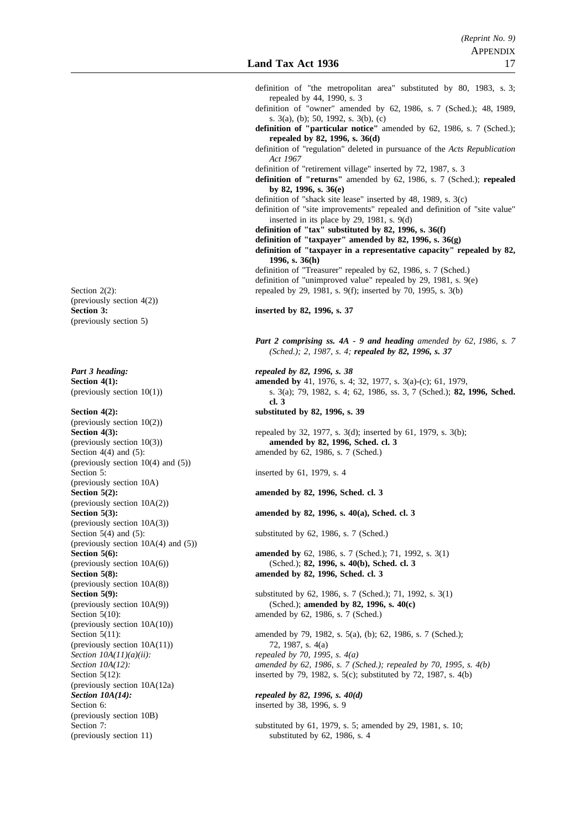|                                                                   | definition of "the metropolitan area" substituted by 80, 1983, s. 3;<br>repealed by 44, 1990, s. 3                                            |
|-------------------------------------------------------------------|-----------------------------------------------------------------------------------------------------------------------------------------------|
|                                                                   | definition of "owner" amended by 62, 1986, s. 7 (Sched.); 48, 1989,                                                                           |
|                                                                   | s. $3(a)$ , (b); 50, 1992, s. $3(b)$ , (c)<br>definition of "particular notice" amended by 62, 1986, s. 7 (Sched.);                           |
|                                                                   | repealed by 82, 1996, s. $36(d)$<br>definition of "regulation" deleted in pursuance of the Acts Republication<br>Act 1967                     |
|                                                                   | definition of "retirement village" inserted by 72, 1987, s. 3<br>definition of "returns" amended by 62, 1986, s. 7 (Sched.); repealed         |
|                                                                   | by 82, 1996, s. 36(e)<br>definition of "shack site lease" inserted by 48, 1989, s. 3(c)                                                       |
|                                                                   | definition of "site improvements" repealed and definition of "site value"<br>inserted in its place by 29, 1981, s. $9(d)$                     |
|                                                                   | definition of "tax" substituted by 82, 1996, s. 36(f)<br>definition of "taxpayer" amended by 82, 1996, s. $36(g)$                             |
|                                                                   | definition of "taxpayer in a representative capacity" repealed by 82,<br>1996, s. $36(h)$                                                     |
|                                                                   | definition of "Treasurer" repealed by 62, 1986, s. 7 (Sched.)<br>definition of "unimproved value" repealed by 29, 1981, s. 9(e)               |
| Section $2(2)$ :                                                  | repealed by 29, 1981, s. 9(f); inserted by 70, 1995, s. 3(b)                                                                                  |
| (previously section $4(2)$ )<br><b>Section 3:</b>                 | inserted by 82, 1996, s. 37                                                                                                                   |
| (previously section 5)                                            |                                                                                                                                               |
|                                                                   | Part 2 comprising ss. $4A - 9$ and heading amended by 62, 1986, s. 7<br>(Sched.); 2, 1987, s. 4; repealed by 82, 1996, s. 37                  |
| Part 3 heading:                                                   | repealed by 82, 1996, s. 38                                                                                                                   |
| Section $4(1)$ :<br>(previously section $10(1)$ )                 | amended by 41, 1976, s. 4; 32, 1977, s. 3(a)-(c); 61, 1979,<br>s. 3(a); 79, 1982, s. 4; 62, 1986, ss. 3, 7 (Sched.); 82, 1996, Sched.<br>cl.3 |
| Section $4(2)$ :                                                  | substituted by 82, 1996, s. 39                                                                                                                |
| (previously section 10(2))<br>Section $4(3)$ :                    | repealed by 32, 1977, s. 3(d); inserted by 61, 1979, s. 3(b);                                                                                 |
| (previously section $10(3)$ )                                     | amended by 82, 1996, Sched. cl. 3                                                                                                             |
| Section $4(4)$ and $(5)$ :                                        | amended by 62, 1986, s. 7 (Sched.)                                                                                                            |
| (previously section $10(4)$ and $(5)$ )<br>Section 5:             | inserted by 61, 1979, s. 4                                                                                                                    |
| (previously section 10A)                                          |                                                                                                                                               |
| Section $5(2)$ :                                                  | amended by 82, 1996, Sched. cl. 3                                                                                                             |
| (previously section $10A(2)$ )<br>Section $5(3)$ :                | amended by 82, 1996, s. 40(a), Sched. cl. 3                                                                                                   |
| (previously section $10A(3)$ )                                    |                                                                                                                                               |
| Section $5(4)$ and $(5)$ :<br>(previously section 10A(4) and (5)) | substituted by 62, 1986, s. 7 (Sched.)                                                                                                        |
| Section $5(6)$ :                                                  | amended by 62, 1986, s. 7 (Sched.); 71, 1992, s. 3(1)                                                                                         |
| (previously section 10A(6))                                       | (Sched.); 82, 1996, s. 40(b), Sched. cl. 3                                                                                                    |
| Section $5(8)$ :                                                  | amended by 82, 1996, Sched. cl. 3                                                                                                             |
| (previously section 10A(8))<br>Section $5(9)$ :                   | substituted by 62, 1986, s. 7 (Sched.); 71, 1992, s. 3(1)                                                                                     |
| (previously section 10A(9))                                       | (Sched.); amended by 82, 1996, s. 40(c)                                                                                                       |
| Section $5(10)$ :                                                 | amended by 62, 1986, s. 7 (Sched.)                                                                                                            |
| (previously section 10A(10))<br>Section $5(11)$ :                 | amended by 79, 1982, s. 5(a), (b); 62, 1986, s. 7 (Sched.);                                                                                   |
| (previously section $10A(11)$ )                                   | 72, 1987, s. 4(a)                                                                                                                             |
| Section $10A(11)(a)(ii)$ :                                        | repealed by 70, 1995, s. $4(a)$                                                                                                               |
| Section $10A(12)$ :<br>Section $5(12)$ :                          | amended by 62, 1986, s. 7 (Sched.); repealed by 70, 1995, s. 4(b)<br>inserted by 79, 1982, s. $5(c)$ ; substituted by 72, 1987, s. $4(b)$     |
| (previously section 10A(12a)                                      |                                                                                                                                               |
| Section $10A(14)$ :                                               | repealed by 82, 1996, s. $40(d)$                                                                                                              |
| Section 6:                                                        | inserted by 38, 1996, s. 9                                                                                                                    |
| (previously section 10B)<br>Section 7:                            | substituted by 61, 1979, s. 5; amended by 29, 1981, s. 10;                                                                                    |
| (previously section 11)                                           | substituted by 62, 1986, s. 4                                                                                                                 |
|                                                                   |                                                                                                                                               |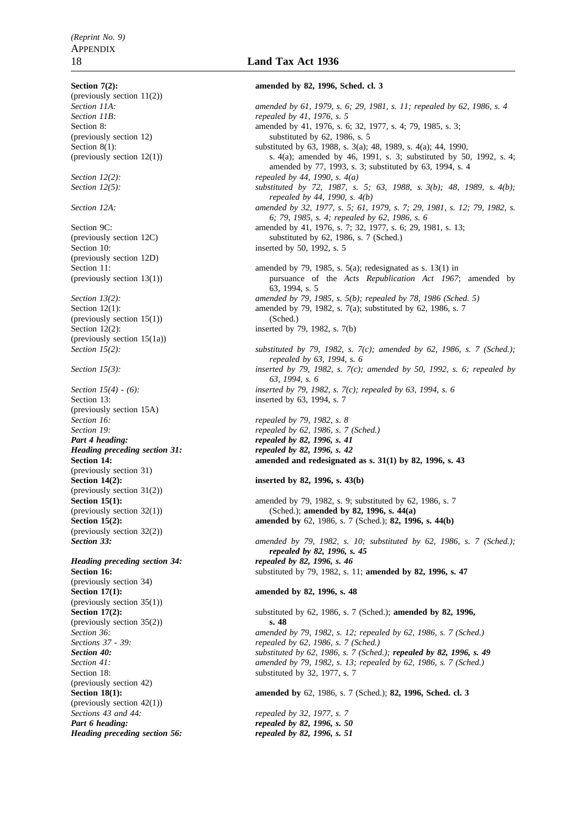**Section 7(2): amended by 82, 1996, Sched. cl. 3** (previously section 11(2)) *Section 12(2): repealed by 44, 1990, s. 4(a)* Section 10: inserted by 50, 1992, s. 5 (previously section 12D)  $(\text{previously section } 15(1))$  (Sched.) Section 12(2): inserted by 79, 1982, s.  $7(b)$ (previously section 15(1a))<br>Section  $15(2)$ : Section 13: inserted by 63, 1994, s. 7 (previously section 15A) *Section 16: repealed by 79, 1982, s. 8 Part 4 heading: repealed by 82, 1996, s. 41 Heading preceding section 31: repealed by 82, 1996, s. 42* (previously section 31) **Section 14(2):** inserted by 82, 1996, s. 43(b) (previously section  $31(2)$ )<br>Section  $15(1)$ : (previously section 32(2)) *Heading preceding section 34:* repealed by 82, 1996, s. 46 (previously section 34) **Section 17(1): amended by 82, 1996, s. 48** (previously section 35(1)) (previously section 35(2)) **s. 48** (previously section 42) (previously section 42(1)) *Sections 43 and 44: repealed by 32, 1977, s. 7 Part 6 heading: repealed by 82, 1996, s. 50 Heading preceding section 56:* repealed by 82, 1996, s. 51

# 18 **Land Tax Act 1936**

*Section 11A: amended by 61, 1979, s. 6; 29, 1981, s. 11; repealed by 62, 1986, s. 4*<br>*Section 11B Section 11B: repealed by 41, 1976, s. 5* Section 8: amended by 41, 1976, s. 6; 32, 1977, s. 4; 79, 1985, s. 3; (previously section 12) substituted by 62, 1986, s. 5<br>Section 8(1): substituted by 63, 1988, s. 3(a); substituted by 63, 1988, s. 3(a); 48, 1989, s. 4(a); 44, 1990, (previously section 12(1)) s. 4(a); amended by 46, 1991, s. 3; substituted by 50, 1992, s. 4; amended by 77, 1993, s. 3; substituted by 63, 1994, s. 4 *Section 12(5): substituted by 72, 1987, s. 5; 63, 1988, s. 3(b); 48, 1989, s. 4(b); repealed by 44, 1990, s. 4(b) Section 12A: amended by 32, 1977, s. 5; 61, 1979, s. 7; 29, 1981, s. 12; 79, 1982, s. 6; 79, 1985, s. 4; repealed by 62, 1986, s. 6* Section 9C: amended by 41, 1976, s. 7; 32, 1977, s. 6; 29, 1981, s. 13; (previously section 12C) substituted by 62, 1986, s. 7 (Sched.) Section 11: amended by 79, 1985, s. 5(a); redesignated as s. 13(1) in (previously section 13(1)) pursuance of the *Acts Republication Act 1967*; amended by 63, 1994, s. 5 *Section 13(2): amended by 79, 1985, s. 5(b); repealed by 78, 1986 (Sched. 5)* Section 12(1): amended by 79, 1982, s. 7(a); substituted by 62, 1986, s. 7 *Section 15(2): substituted by 79, 1982, s. 7(c); amended by 62, 1986, s. 7 (Sched.); repealed by 63, 1994, s. 6 Section 15(3): inserted by 79, 1982, s. 7(c); amended by 50, 1992, s. 6; repealed by 63, 1994, s. 6 Section 15(4) - (6): inserted by 79, 1982, s. 7(c); repealed by 63, 1994, s. 6 Section 19: repealed by 62, 1986, s. 7 (Sched.)* **Section 14: amended and redesignated as s. 31(1) by 82, 1996, s. 43** amended by 79, 1982, s. 9; substituted by 62, 1986, s. 7 (previously section 32(1)) (Sched.); **amended by 82, 1996, s. 44(a) Section 15(2): amended by** 62, 1986, s. 7 (Sched.); **82, 1996, s. 44(b)** *Section 33: amended by 79, 1982, s. 10; substituted by 62, 1986, s. 7 (Sched.); repealed by 82, 1996, s. 45* **Section 16:** Substituted by 79, 1982, s. 11; **amended by 82, 1996, s. 47 Section 17(2):** substituted by 62, 1986, s. 7 (Sched.); **amended by 82, 1996,** *Section 36: amended by 79, 1982, s. 12; repealed by 62, 1986, s. 7 (Sched.)*<br>*Sections 37 - 39: repealed by 62, 1986, s. 7 (Sched.) repealed by 62, 1986, s. 7 (Sched.) Section 40: substituted by 62, 1986, s. 7 (Sched.); repealed by 82, 1996, s. 49 Section 41: amended by 79, 1982, s. 13; repealed by 62, 1986, s. 7 (Sched.)* substituted by 32, 1977, s. 7 **Section 18(1): amended by** 62, 1986, s. 7 (Sched.); **82, 1996, Sched. cl. 3**